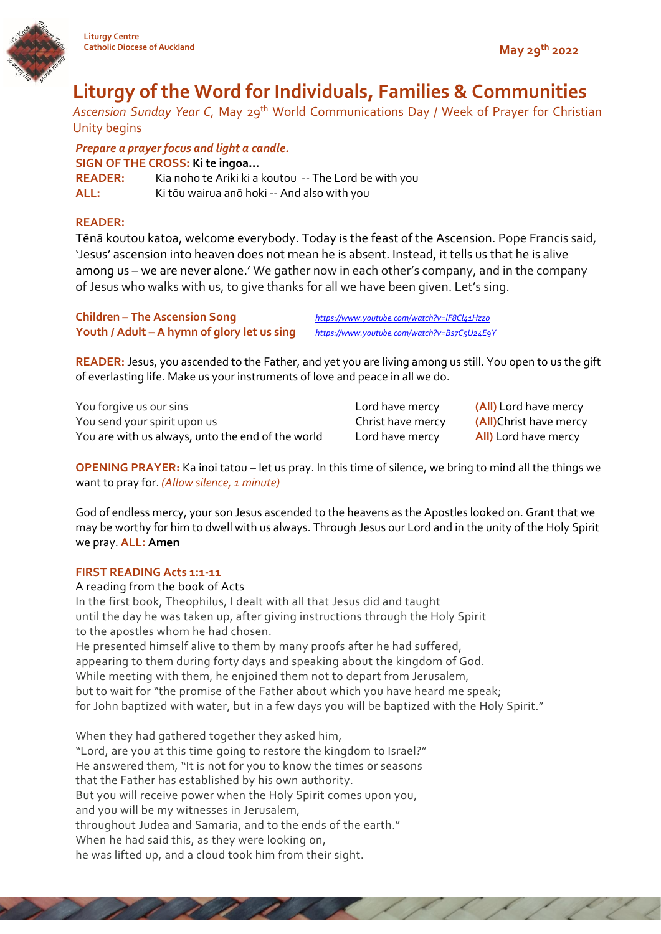

# **Liturgy of the Word for Individuals, Families & Communities**

*Ascension Sunday Year C,* May 29th World Communications Day / Week of Prayer for Christian Unity begins

*Prepare a prayer focus and light a candle.* **SIGN OF THE CROSS: Ki te ingoa… READER:** Kia noho te Ariki ki a koutou -- The Lord be with you **ALL:** Ki tōu wairua anō hoki -- And also with you

# **READER:**

Tēnā koutou katoa, welcome everybody. Today is the feast of the Ascension. Pope Francis said, 'Jesus' ascension into heaven does not mean he is absent. Instead, it tells us that he is alive among us – we are never alone.' We gather now in each other's company, and in the company of Jesus who walks with us, to give thanks for all we have been given. Let's sing.

**Children – The Ascension Song** *<https://www.youtube.com/watch?v=lF8Cl41Hzz0>* **Youth / Adult – A hymn of glory let us sing** *<https://www.youtube.com/watch?v=Bs7C5U24E9Y>*

**READER:** Jesus, you ascended to the Father, and yet you are living among us still. You open to us the gift of everlasting life. Make us your instruments of love and peace in all we do.

| You forgive us our sins<br>You send your spirit upon us<br>You are with us always, unto the end of the world | Lord l<br>Christ<br>Lord l |
|--------------------------------------------------------------------------------------------------------------|----------------------------|
|--------------------------------------------------------------------------------------------------------------|----------------------------|

have mercy **All**) Lord have mercy

have mercy **(All)** Lord have mercy t have mercy **(All)**Christ have mercy

**OPENING PRAYER:** Ka inoi tatou – let us pray. In this time of silence, we bring to mind all the things we want to pray for. *(Allow silence, 1 minute)*

God of endless mercy, your son Jesus ascended to the heavens as the Apostles looked on. Grant that we may be worthy for him to dwell with us always. Through Jesus our Lord and in the unity of the Holy Spirit we pray. **ALL: Amen**

## **FIRST READING Acts 1:1-11**

A reading from the book of Acts In the first book, Theophilus, I dealt with all that Jesus did and taught until the day he was taken up, after giving instructions through the Holy Spirit to the apostles whom he had chosen. He presented himself alive to them by many proofs after he had suffered, appearing to them during forty days and speaking about the kingdom of God. While meeting with them, he enjoined them not to depart from Jerusalem, but to wait for "the promise of the Father about which you have heard me speak; for John baptized with water, but in a few days you will be baptized with the Holy Spirit." When they had gathered together they asked him, "Lord, are you at this time going to restore the kingdom to Israel?" He answered them, "It is not for you to know the times or seasons

that the Father has established by his own authority. But you will receive power when the Holy Spirit comes upon you,

and you will be my witnesses in Jerusalem,

throughout Judea and Samaria, and to the ends of the earth."

When he had said this, as they were looking on,

he was lifted up, and a cloud took him from their sight.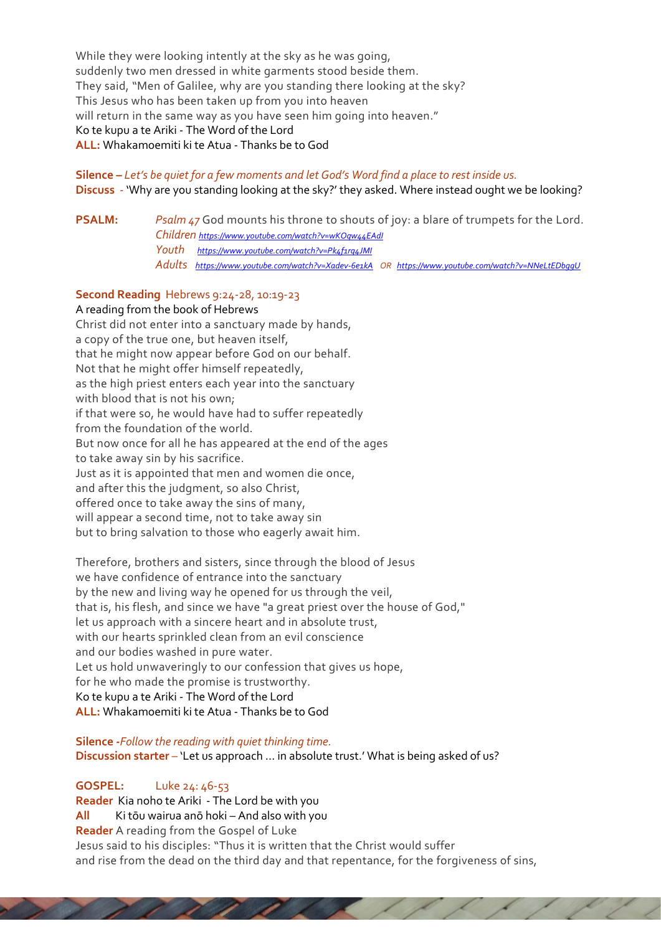While they were looking intently at the sky as he was going, suddenly two men dressed in white garments stood beside them. They said, "Men of Galilee, why are you standing there looking at the sky? This Jesus who has been taken up from you into heaven will return in the same way as you have seen him going into heaven." Ko te kupu a te Ariki - The Word of the Lord **ALL:** Whakamoemiti ki te Atua - Thanks be to God

# **Silence –** *Let's be quiet for a few moments and let God's Word find a place to rest inside us.*

**Discuss** - 'Why are you standing looking at the sky?' they asked. Where instead ought we be looking?

**PSALM:** *Psalm 47* God mounts his throne to shouts of joy: a blare of trumpets for the Lord. *Children <https://www.youtube.com/watch?v=wKOqw44EAdI> Youth <https://www.youtube.com/watch?v=Pk4f1rq4JMI> Adults <https://www.youtube.com/watch?v=Xadev-6e1kA>OR <https://www.youtube.com/watch?v=NNeLtEDbggU>*

## **Second Reading** Hebrews 9:24-28, 10:19-23

A reading from the book of Hebrews

Christ did not enter into a sanctuary made by hands, a copy of the true one, but heaven itself, that he might now appear before God on our behalf. Not that he might offer himself repeatedly, as the high priest enters each year into the sanctuary with blood that is not his own; if that were so, he would have had to suffer repeatedly from the foundation of the world. But now once for all he has appeared at the end of the ages to take away sin by his sacrifice. Just as it is appointed that men and women die once, and after this the judgment, so also Christ, offered once to take away the sins of many, will appear a second time, not to take away sin but to bring salvation to those who eagerly await him.

Therefore, brothers and sisters, since through the blood of Jesus we have confidence of entrance into the sanctuary by the new and living way he opened for us through the veil, that is, his flesh, and since we have "a great priest over the house of God," let us approach with a sincere heart and in absolute trust, with our hearts sprinkled clean from an evil conscience and our bodies washed in pure water. Let us hold unwaveringly to our confession that gives us hope, for he who made the promise is trustworthy. Ko te kupu a te Ariki - The Word of the Lord **ALL:** Whakamoemiti ki te Atua - Thanks be to God

**Silence -***Follow the reading with quiet thinking time.*  **Discussion starter** – 'Let us approach … in absolute trust.' What is being asked of us?

a barbara

# **GOSPEL:** Luke 24: 46-53

**Reader** Kia noho te Ariki - The Lord be with you **All** Ki tōu wairua anō hoki – And also with you **Reader** A reading from the Gospel of Luke Jesus said to his disciples: "Thus it is written that the Christ would suffer and rise from the dead on the third day and that repentance, for the forgiveness of sins,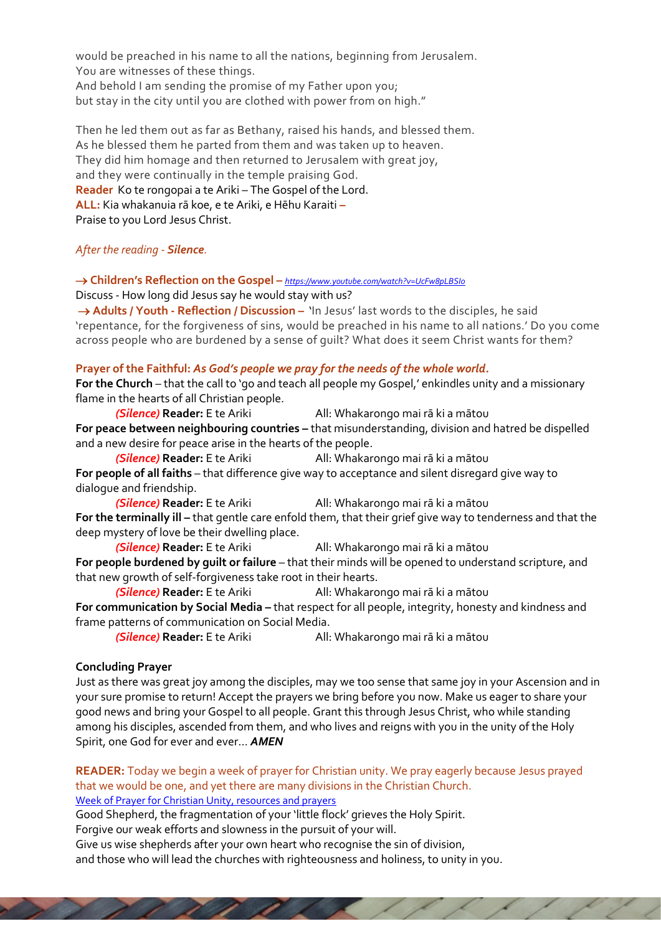would be preached in his name to all the nations, beginning from Jerusalem. You are witnesses of these things. And behold I am sending the promise of my Father upon you; but stay in the city until you are clothed with power from on high."

Then he led them out as far as Bethany, raised his hands, and blessed them. As he blessed them he parted from them and was taken up to heaven. They did him homage and then returned to Jerusalem with great joy, and they were continually in the temple praising God. **Reader** Ko te rongopai a te Ariki – The Gospel of the Lord. **ALL:** Kia whakanuia rā koe, e te Ariki, e Hēhu Karaiti **–** Praise to you Lord Jesus Christ.

## *After the reading - Silence.*

→ **Children's Reflection on the Gospel –** *<https://www.youtube.com/watch?v=UcFw8pLBSIo>*

Discuss - How long did Jesus say he would stay with us?

→ **Adults / Youth - Reflection / Discussion –** 'In Jesus' last words to the disciples, he said 'repentance, for the forgiveness of sins, would be preached in his name to all nations.' Do you come across people who are burdened by a sense of guilt? What does it seem Christ wants for them?

## **Prayer of the Faithful:** *As God's people we pray for the needs of the whole world.*

**For the Church** – that the call to 'go and teach all people my Gospel,' enkindles unity and a missionary flame in the hearts of all Christian people.

*(Silence)* **Reader:** E te Ariki All: Whakarongo mai rā ki a mātou For peace between neighbouring countries - that misunderstanding, division and hatred be dispelled and a new desire for peace arise in the hearts of the people.

*(Silence)* **Reader:** E te Ariki All: Whakarongo mai rā ki a mātou **For people of all faiths** – that difference give way to acceptance and silent disregard give way to dialogue and friendship.

*(Silence)* **Reader:** E te Ariki All: Whakarongo mai rā ki a mātou **For the terminally ill –** that gentle care enfold them, that their grief give way to tenderness and that the deep mystery of love be their dwelling place.

**(Silence) Reader:** E te Ariki All: Whakarongo mai rā ki a mātou **For people burdened by guilt or failure** – that their minds will be opened to understand scripture, and that new growth of self-forgiveness take root in their hearts.

*(Silence)* **Reader:** E te Ariki All: Whakarongo mai rā ki a mātou **For communication by Social Media –** that respect for all people, integrity, honesty and kindness and frame patterns of communication on Social Media.

*(Silence)* **Reader:** E te Ariki All: Whakarongo mai rā ki a mātou

## **Concluding Prayer**

Just as there was great joy among the disciples, may we too sense that same joy in your Ascension and in your sure promise to return! Accept the prayers we bring before you now. Make us eager to share your good news and bring your Gospel to all people. Grant this through Jesus Christ, who while standing among his disciples, ascended from them, and who lives and reigns with you in the unity of the Holy Spirit, one God for ever and ever… *AMEN*

**READER:** Today we begin a week of prayer for Christian unity. We pray eagerly because Jesus prayed that we would be one, and yet there are many divisions in the Christian Church. [Week of Prayer for Christian Unity, resources and prayers](https://www.wn.catholic.org.nz/adw_resource/week-of-prayer-for-christian-unity-29-may-5-june-2022/)

Good Shepherd, the fragmentation of your 'little flock' grieves the Holy Spirit. Forgive our weak efforts and slowness in the pursuit of your will.

a a a a c

Give us wise shepherds after your own heart who recognise the sin of division,

and those who will lead the churches with righteousness and holiness, to unity in you.